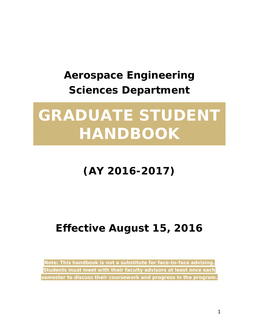## **Aerospace Engineering Sciences Department**

# **GRADUATE STUDENT HANDBOOK**

## **(AY 2016-2017)**

## **Effective August 15, 2016**

*Note: This handbook is not a substitute for face-to-face advising. Students must meet with their faculty advisors at least once each semester to discuss their coursework and progress in the program.*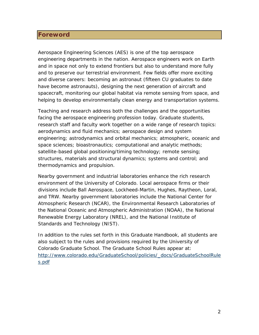## <span id="page-1-0"></span>**Foreword**

Aerospace Engineering Sciences (AES) is one of the top aerospace engineering departments in the nation. Aerospace engineers work on Earth and in space not only to extend frontiers but also to understand more fully and to preserve our terrestrial environment. Few fields offer more exciting and diverse careers: becoming an astronaut (fifteen CU graduates to date have become astronauts), designing the next generation of aircraft and spacecraft, monitoring our global habitat via remote sensing from space, and helping to develop environmentally clean energy and transportation systems.

Teaching and research address both the challenges and the opportunities facing the aerospace engineering profession today. Graduate students, research staff and faculty work together on a wide range of research topics: aerodynamics and fluid mechanics; aerospace design and system engineering; astrodynamics and orbital mechanics; atmospheric, oceanic and space sciences; bioastronautics; computational and analytic methods; satellite-based global positioning/timing technology; remote sensing; structures, materials and structural dynamics; systems and control; and thermodynamics and propulsion.

Nearby government and industrial laboratories enhance the rich research environment of the University of Colorado. Local aerospace firms or their divisions include Ball Aerospace, Lockheed-Martin, Hughes, Raytheon, Loral, and TRW. Nearby government laboratories include the National Center for Atmospheric Research (NCAR), the Environmental Research Laboratories of the National Oceanic and Atmospheric Administration (NOAA), the National Renewable Energy Laboratory (NREL), and the National Institute of Standards and Technology (NIST).

In addition to the rules set forth in this Graduate Handbook, all students are also subject to the rules and provisions required by the University of Colorado Graduate School. The Graduate School Rules appear at: [http://www.colorado.edu/GraduateSchool/policies/\\_docs/GraduateSchoolRule](http://www.colorado.edu/GraduateSchool/policies/_docs/GraduateSchoolRules.pdf) [s.pdf](http://www.colorado.edu/GraduateSchool/policies/_docs/GraduateSchoolRules.pdf)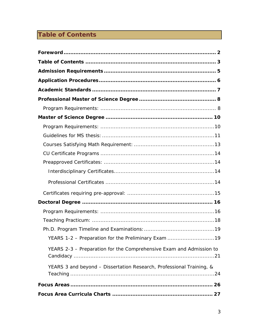## <span id="page-2-0"></span>**Table of Contents**

| YEARS 1-2 - Preparation for the Preliminary Exam 19                  |
|----------------------------------------------------------------------|
| YEARS 2-3 - Preparation for the Comprehensive Exam and Admission to  |
| YEARS 3 and beyond - Dissertation Research, Professional Training, & |
|                                                                      |
|                                                                      |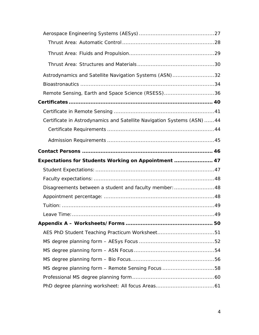| Astrodynamics and Satellite Navigation Systems (ASN)32                  |  |
|-------------------------------------------------------------------------|--|
|                                                                         |  |
| Remote Sensing, Earth and Space Science (RSESS)36                       |  |
|                                                                         |  |
|                                                                         |  |
| Certificate in Astrodynamics and Satellite Navigation Systems (ASN)  44 |  |
|                                                                         |  |
|                                                                         |  |
|                                                                         |  |
|                                                                         |  |
| Expectations for Students Working on Appointment  47                    |  |
|                                                                         |  |
|                                                                         |  |
| Disagreements between a student and faculty member: 48                  |  |
|                                                                         |  |
|                                                                         |  |
|                                                                         |  |
|                                                                         |  |
|                                                                         |  |
|                                                                         |  |
|                                                                         |  |
|                                                                         |  |
| MS degree planning form – Remote Sensing Focus 58                       |  |
|                                                                         |  |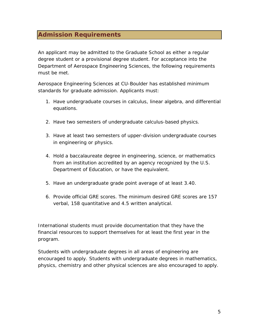## <span id="page-4-0"></span>**Admission Requirements**

An applicant may be admitted to the Graduate School as either a regular degree student or a provisional degree student. For acceptance into the Department of Aerospace Engineering Sciences, the following requirements must be met.

Aerospace Engineering Sciences at CU-Boulder has established minimum standards for graduate admission. Applicants must:

- 1. Have undergraduate courses in calculus, linear algebra, and differential equations.
- 2. Have two semesters of undergraduate calculus-based physics.
- 3. Have at least two semesters of upper-division undergraduate courses in engineering or physics.
- 4. Hold a baccalaureate degree in engineering, science, or mathematics from an institution accredited by an agency recognized by the U.S. Department of Education, or have the equivalent.
- 5. Have an undergraduate grade point average of at least 3.40.
- 6. Provide official GRE scores. The minimum desired GRE scores are 157 verbal, 158 quantitative and 4.5 written analytical.

International students must provide documentation that they have the financial resources to support themselves for at least the first year in the program.

Students with undergraduate degrees in all areas of engineering are encouraged to apply. Students with undergraduate degrees in mathematics, physics, chemistry and other physical sciences are also encouraged to apply.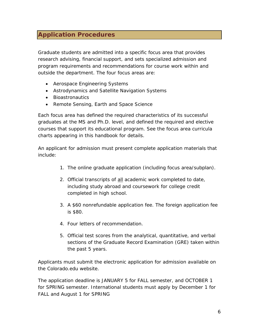## <span id="page-5-0"></span>**Application Procedures**

Graduate students are admitted into a specific focus area that provides research advising, financial support, and sets specialized admission and program requirements and recommendations for course work within and outside the department. The four focus areas are:

- Aerospace Engineering Systems
- Astrodynamics and Satellite Navigation Systems
- Bioastronautics
- Remote Sensing, Earth and Space Science

Each focus area has defined the required characteristics of its successful graduates at the MS and Ph.D. level, and defined the required and elective courses that support its educational program. See the focus area curricula charts appearing in this handbook for details.

An applicant for admission must present complete application materials that include:

- 1. The online graduate application (including focus area/subplan).
- 2. Official transcripts of all academic work completed to date, including study abroad and coursework for college credit completed in high school.
- 3. A \$60 nonrefundable application fee. The foreign application fee is \$80.
- 4. Four letters of recommendation.
- 5. Official test scores from the analytical, quantitative, and verbal sections of the Graduate Record Examination (GRE) taken within the past 5 years.

Applicants must submit the electronic application for admission available on the Colorado.edu website.

The application deadline is JANUARY 5 for FALL semester, and OCTOBER 1 for SPRING semester. International students must apply by December 1 for FALL and August 1 for SPRING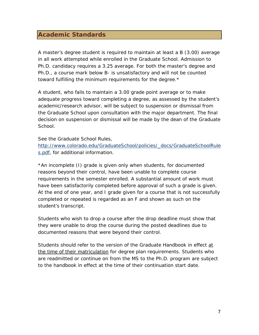## <span id="page-6-0"></span>**Academic Standards**

A master's degree student is required to maintain at least a B (3.00) average in all work attempted while enrolled in the Graduate School. Admission to Ph.D. candidacy requires a 3.25 average. For both the master's degree and Ph.D., a course mark below B- is unsatisfactory and will not be counted toward fulfilling the minimum requirements for the degree.\*

A student, who fails to maintain a 3.00 grade point average or to make adequate progress toward completing a degree, as assessed by the student's academic/research advisor, will be subject to suspension or dismissal from the Graduate School upon consultation with the major department. The final decision on suspension or dismissal will be made by the dean of the Graduate School.

See the Graduate School Rules,

[http://www.colorado.edu/GraduateSchool/policies/\\_docs/GraduateSchoolRule](http://www.colorado.edu/GraduateSchool/policies/_docs/GraduateSchoolRules.pdf) [s.pdf,](http://www.colorado.edu/GraduateSchool/policies/_docs/GraduateSchoolRules.pdf) for additional information.

\*An incomplete (I) grade is given only when students, for documented reasons beyond their control, have been unable to complete course requirements in the semester enrolled. A substantial amount of work must have been satisfactorily completed before approval of such a grade is given. At the end of one year, and I grade given for a course that is not successfully completed or repeated is regarded as an F and shown as such on the student's transcript.

Students who wish to drop a course after the drop deadline must show that they were unable to drop the course during the posted deadlines due to documented reasons that were beyond their control.

Students should refer to the version of the Graduate Handbook in effect at the time of their matriculation for degree plan requirements. Students who are readmitted or continue on from the MS to the Ph.D. program are subject to the handbook in effect at the time of their continuation start date.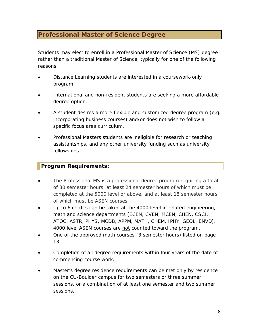## <span id="page-7-0"></span>**Professional Master of Science Degree**

Students may elect to enroll in a Professional Master of Science (MS) degree rather than a traditional Master of Science, typically for one of the following reasons:

- Distance Learning students are interested in a coursework-only program.
- International and non-resident students are seeking a more affordable degree option.
- A student desires a more flexible and customized degree program (e.g. incorporating business courses) and/or does not wish to follow a specific focus area curriculum.
- Professional Masters students are ineligible for research or teaching assistantships, and any other university funding such as university fellowships.

## <span id="page-7-1"></span>**Program Requirements:**

- The Professional MS is a professional degree program requiring a total of 30 semester hours, at least 24 semester hours of which must be completed at the 5000 level or above, and at least 18 semester hours of which must be ASEN courses.
- Up to 6 credits can be taken at the 4000 level in related engineering, math and science departments (ECEN, CVEN, MCEN, CHEN, CSCI, ATOC, ASTR, PHYS, MCDB, APPM, MATH, CHEM, IPHY, GEOL, ENVD). 4000 level ASEN courses are not counted toward the program.
- One of the approved math courses (3 semester hours) listed on page 13.
- Completion of all degree requirements within four years of the date of commencing course work.
- Master's degree residence requirements can be met only by residence on the CU-Boulder campus for two semesters or three summer sessions, or a combination of at least one semester and two summer sessions.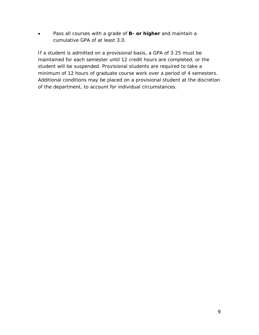• Pass all courses with a grade of **B- or higher** and maintain a cumulative GPA of at least 3.0.

If a student is admitted on a provisional basis, a GPA of 3.25 must be maintained for each semester until 12 credit hours are completed, or the student will be suspended. Provisional students are required to take a minimum of 12 hours of graduate course work over a period of 4 semesters. Additional conditions may be placed on a provisional student at the discretion of the department, to account for individual circumstances.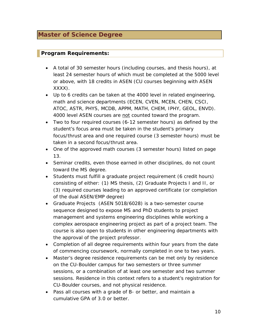## <span id="page-9-0"></span>**Master of Science Degree**

## <span id="page-9-1"></span>**Program Requirements:**

- A total of 30 semester hours (including courses, and thesis hours), at least 24 semester hours of which must be completed at the 5000 level or above, with 18 credits in ASEN (CU courses beginning with ASEN XXXX).
- Up to 6 credits can be taken at the 4000 level in related engineering, math and science departments (ECEN, CVEN, MCEN, CHEN, CSCI, ATOC, ASTR, PHYS, MCDB, APPM, MATH, CHEM, IPHY, GEOL, ENVD). 4000 level ASEN courses are not counted toward the program.
- Two to four required courses (6-12 semester hours) as defined by the student's focus area must be taken in the student's primary focus/thrust area and one required course (3 semester hours) must be taken in a second focus/thrust area.
- One of the approved math courses (3 semester hours) listed on page 13.
- Seminar credits, even those earned in other disciplines, do not count toward the MS degree.
- Students must fulfill a graduate project requirement (6 credit hours) consisting of either: (1) MS thesis, (2) Graduate Projects I and II, or (3) required courses leading to an approved certificate (or completion of the dual ASEN/EMP degree)
- Graduate Projects (ASEN 5018/6028) is a two-semester course sequence designed to expose MS and PhD students to project management and systems engineering disciplines while working a complex aerospace engineering project as part of a project team. The course is also open to students in other engineering departments with the approval of the project professor.
- Completion of all degree requirements within four years from the date of commencing coursework, normally completed in one to two years.
- Master's degree residence requirements can be met only by residence on the CU-Boulder campus for two semesters or three summer sessions, or a combination of at least one semester and two summer sessions. Residence in this context refers to a student's registration for CU-Boulder courses, and not physical residence.
- Pass all courses with a grade of B- or better, and maintain a cumulative GPA of 3.0 or better.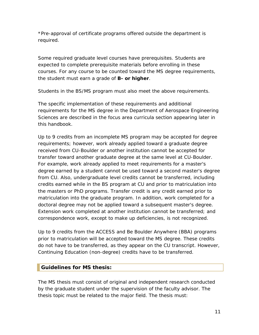\*Pre-approval of certificate programs offered outside the department is required.

Some required graduate level courses have prerequisites. Students are expected to complete prerequisite materials before enrolling in these courses. For any course to be counted toward the MS degree requirements, the student must earn a grade of **B- or higher**.

Students in the BS/MS program must also meet the above requirements.

The specific implementation of these requirements and additional requirements for the MS degree in the Department of Aerospace Engineering Sciences are described in the focus area curricula section appearing later in this handbook.

Up to 9 credits from an incomplete MS program may be accepted for degree requirements; however, work already applied toward a graduate degree received from CU-Boulder or another institution cannot be accepted for transfer toward another graduate degree at the same level at CU-Boulder. For example, work already applied to meet requirements for a master's degree earned by a student cannot be used toward a second master's degree from CU. Also, undergraduate level credits cannot be transferred, including credits earned while in the BS program at CU and prior to matriculation into the masters or PhD programs. Transfer credit is any credit earned prior to matriculation into the graduate program. In addition, work completed for a doctoral degree may not be applied toward a subsequent master's degree. Extension work completed at another institution cannot be transferred; and correspondence work, except to make up deficiencies, is not recognized.

Up to 9 credits from the ACCESS and Be Boulder Anywhere (BBA) programs prior to matriculation will be accepted toward the MS degree. These credits do not have to be transferred, as they appear on the CU transcript. However, Continuing Education (non-degree) credits have to be transferred.

## <span id="page-10-0"></span>**Guidelines for MS thesis:**

The MS thesis must consist of original and independent research conducted by the graduate student under the supervision of the faculty advisor. The thesis topic must be related to the major field. The thesis must: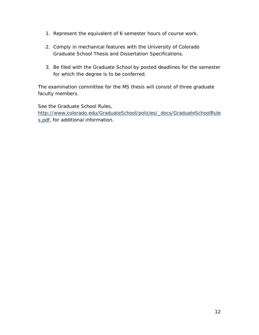- 1. Represent the equivalent of 6 semester hours of course work.
- 2. Comply in mechanical features with the University of Colorado Graduate School Thesis and Dissertation Specifications.
- 3. Be filed with the Graduate School by posted deadlines for the semester for which the degree is to be conferred.

The examination committee for the MS thesis will consist of three graduate faculty members.

See the Graduate School Rules, [http://www.colorado.edu/GraduateSchool/policies/\\_docs/GraduateSchoolRule](http://www.colorado.edu/GraduateSchool/policies/_docs/GraduateSchoolRules.pdf) [s.pdf,](http://www.colorado.edu/GraduateSchool/policies/_docs/GraduateSchoolRules.pdf) for additional information.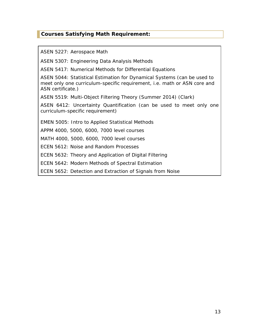## <span id="page-12-0"></span>**Courses Satisfying Math Requirement:**

ASEN 5227: Aerospace Math

ASEN 5307: Engineering Data Analysis Methods

ASEN 5417: Numerical Methods for Differential Equations

ASEN 5044: Statistical Estimation for Dynamical Systems (can be used to meet only one curriculum-specific requirement, i.e. math or ASN core and ASN certificate.)

ASEN 5519: Multi-Object Filtering Theory (Summer 2014) (Clark)

ASEN 6412: Uncertainty Quantification (can be used to meet only one curriculum-specific requirement)

EMEN 5005: Intro to Applied Statistical Methods

APPM 4000, 5000, 6000, 7000 level courses

MATH 4000, 5000, 6000, 7000 level courses

ECEN 5612: Noise and Random Processes

ECEN 5632: Theory and Application of Digital Filtering

ECEN 5642: Modern Methods of Spectral Estimation

ECEN 5652: Detection and Extraction of Signals from Noise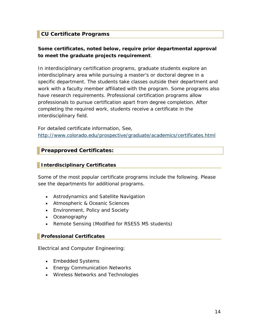## <span id="page-13-0"></span>**CU Certificate Programs**

## **Some certificates, noted below, require prior departmental approval to meet the graduate projects requirement**.

In interdisciplinary certification programs, graduate students explore an interdisciplinary area while pursuing a master's or doctoral degree in a specific department. The students take classes outside their department and work with a faculty member affiliated with the program. Some programs also have research requirements. Professional certification programs allow professionals to pursue certification apart from degree completion. After completing the required work, students receive a certificate in the interdisciplinary field.

For detailed certificate information, See, <http://www.colorado.edu/prospective/graduate/academics/certificates.html>

## <span id="page-13-1"></span>**Preapproved Certificates:**

## <span id="page-13-2"></span>**Interdisciplinary Certificates**

Some of the most popular certificate programs include the following. Please see the departments for additional programs.

- Astrodynamics and Satellite Navigation
- Atmospheric & Oceanic Sciences
- Environment, Policy and Society
- Oceanography
- Remote Sensing (Modified for RSESS MS students)

#### <span id="page-13-3"></span>**Professional Certificates**

Electrical and Computer Engineering:

- Embedded Systems
- [Energy](http://ece.colorado.edu/%7Epwrelect/book/CEdCourses.html) Communication Networks
- [Wireless](http://ece.colorado.edu/%7Eswengctf/) Networks and Technologies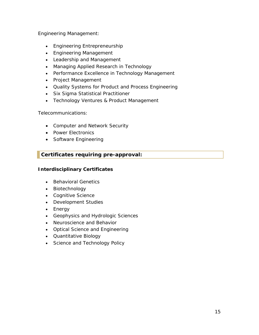Engineering Management:

- Engineering Entrepreneurship
- Engineering Management
- Leadership and Management
- Managing Applied Research in Technology
- Performance Excellence in Technology Management
- Project Management
- Quality Systems for Product and Process Engineering
- Six Sigma Statistical Practitioner
- Technology Ventures & Product Management

Telecommunications:

- Computer and Network Security
- Power Electronics
- Software Engineering

## <span id="page-14-0"></span>**Certificates requiring pre-approval:**

## **Interdisciplinary Certificates**

- Behavioral Genetics
- Biotechnology
- Cognitive Science
- Development Studies
- Energy
- Geophysics and Hydrologic Sciences
- Neuroscience and Behavior
- Optical Science and Engineering
- Quantitative Biology
- Science and Technology Policy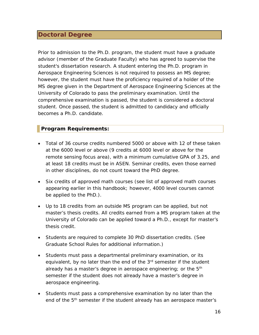## <span id="page-15-0"></span>**Doctoral Degree**

Prior to admission to the Ph.D. program, the student must have a graduate advisor (member of the Graduate Faculty) who has agreed to supervise the student's dissertation research. A student entering the Ph.D. program in Aerospace Engineering Sciences is not required to possess an MS degree; however, the student must have the proficiency required of a holder of the MS degree given in the Department of Aerospace Engineering Sciences at the University of Colorado to pass the preliminary examination. Until the comprehensive examination is passed, the student is considered a doctoral student. Once passed, the student is admitted to candidacy and officially becomes a Ph.D. candidate.

## <span id="page-15-1"></span>**Program Requirements:**

- Total of 36 course credits numbered 5000 or above with 12 of these taken at the 6000 level or above (9 credits at 6000 level or above for the remote sensing focus area), with a minimum cumulative GPA of 3.25, and at least 18 credits must be in ASEN. Seminar credits, even those earned in other disciplines, do not count toward the PhD degree.
- Six credits of approved math courses (see list of approved math courses appearing earlier in this handbook; however, 4000 level courses cannot be applied to the PhD.).
- Up to 18 credits from an outside MS program can be applied, but not master's thesis credits. All credits earned from a MS program taken at the University of Colorado can be applied toward a Ph.D., except for master's thesis credit.
- Students are required to complete 30 PhD dissertation credits. (See Graduate School Rules for additional information.)
- Students must pass a departmental preliminary examination, or its equivalent, by no later than the end of the 3<sup>rd</sup> semester if the student already has a master's degree in aerospace engineering; or the  $5<sup>th</sup>$ semester if the student does not already have a master's degree in aerospace engineering.
- Students must pass a comprehensive examination by no later than the end of the 5<sup>th</sup> semester if the student already has an aerospace master's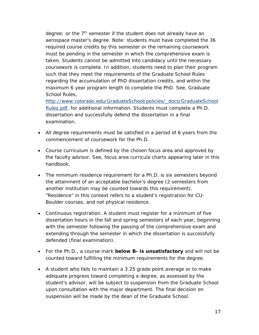degree; or the  $7<sup>th</sup>$  semester if the student does not already have an aerospace master's degree. Note: students must have completed the 36 required course credits by this semester or the remaining coursework must be pending in the semester in which the comprehensive exam is taken. Students cannot be admitted into candidacy until the necessary coursework is complete. In addition, students need to plan their program such that they meet the requirements of the Graduate School Rules regarding the accumulation of PhD dissertation credits, and within the maximum 6 year program length to complete the PhD. See, Graduate School Rules,

[http://www.colorado.edu/GraduateSchool/policies/\\_docs/GraduateSchool](http://www.colorado.edu/GraduateSchool/policies/_docs/GraduateSchoolRules.pdf) [Rules.pdf,](http://www.colorado.edu/GraduateSchool/policies/_docs/GraduateSchoolRules.pdf) for additional information. Students must complete a Ph.D. dissertation and successfully defend the dissertation in a final examination.

- All degree requirements must be satisfied in a period of 6 years from the commencement of coursework for the Ph.D.
- Course curriculum is defined by the chosen focus area and approved by the faculty advisor. See, focus area curricula charts appearing later in this handbook.
- The minimum residence requirement for a Ph.D. is six semesters beyond the attainment of an acceptable bachelor's degree (2 semesters from another institution may be counted towards this requirement). "Residence" in this context refers to a student's registration for CU-Boulder courses, and not physical residence.
- Continuous registration. A student must register for a minimum of five dissertation hours in the fall and spring semesters of each year, beginning with the semester following the passing of the comprehensive exam and extending through the semester in which the dissertation is successfully defended (final examination).
- For the Ph.D., a course mark **below B- is unsatisfactory** and will not be counted toward fulfilling the minimum requirements for the degree.
- A student who fails to maintain a 3.25 grade point average or to make adequate progress toward completing a degree, as assessed by the student's advisor, will be subject to suspension from the Graduate School upon consultation with the major department. The final decision on suspension will be made by the dean of the Graduate School.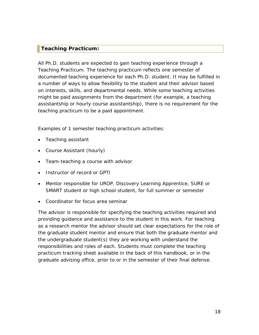## <span id="page-17-0"></span>**Teaching Practicum:**

All Ph.D. students are expected to gain teaching experience through a Teaching Practicum. The teaching practicum reflects one semester of documented teaching experience for each Ph.D. student. It may be fulfilled in a number of ways to allow flexibility to the student and their advisor based on interests, skills, and departmental needs. While some teaching activities might be paid assignments from the department (for example, a teaching assistantship or hourly course assistantship), there is no requirement for the teaching practicum to be a paid appointment.

Examples of 1 semester teaching practicum activities:

- Teaching assistant
- Course Assistant (hourly)
- Team-teaching a course with advisor
- Instructor of record or GPTI
- Mentor responsible for UROP, Discovery Learning Apprentice, SURE or SMART student or high school student, for full summer or semester
- Coordinator for focus area seminar

The advisor is responsible for specifying the teaching activities required and providing guidance and assistance to the student in this work. For teaching as a research mentor the advisor should set clear expectations for the role of the graduate student mentor and ensure that both the graduate mentor and the undergraduate student(s) they are working with understand the responsibilities and roles of each. Students must complete the teaching practicum tracking sheet available in the back of this handbook, or in the graduate advising office, prior to or in the semester of their final defense.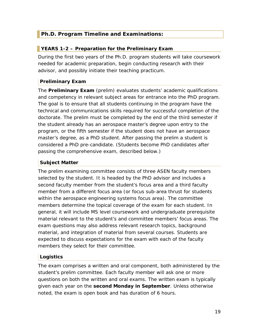## <span id="page-18-0"></span>**Ph.D. Program Timeline and Examinations:**

## <span id="page-18-1"></span>**YEARS 1-2 – Preparation for the Preliminary Exam**

During the first two years of the Ph.D. program students will take coursework needed for academic preparation, begin conducting research with their advisor, and possibly initiate their teaching practicum.

## **Preliminary Exam**

The **Preliminary Exam** (prelim) evaluates students' academic qualifications and competency in relevant subject areas for entrance into the PhD program. The goal is to ensure that all students continuing in the program have the technical and communications skills required for successful completion of the doctorate. The prelim must be completed by the end of the third semester if the student already has an aerospace master's degree upon entry to the program, or the fifth semester if the student does not have an aerospace master's degree, as a PhD student. After passing the prelim a student is considered a PhD pre-candidate. (Students become PhD candidates after passing the comprehensive exam, described below.)

## **Subject Matter**

The prelim examining committee consists of three ASEN faculty members selected by the student. It is headed by the PhD advisor and includes a second faculty member from the student's focus area and a third faculty member from a different focus area (or focus sub-area thrust for students within the aerospace engineering systems focus area). The committee members determine the topical coverage of the exam for each student. In general, it will include MS level coursework and undergraduate prerequisite material relevant to the student's and committee members' focus areas. The exam questions may also address relevant research topics, background material, and integration of material from several courses. Students are expected to discuss expectations for the exam with each of the faculty members they select for their committee.

## **Logistics**

The exam comprises a written and oral component, both administered by the student's prelim committee. Each faculty member will ask one or more questions on both the written and oral exams. The written exam is typically given each year on the **second Monday in September**. Unless otherwise noted, the exam is open book and has duration of 6 hours.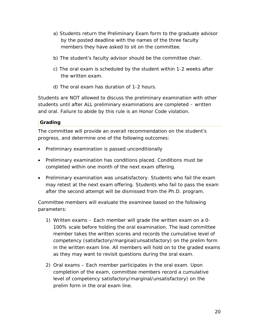- a) Students return the Preliminary Exam form to the graduate advisor by the posted deadline with the names of the three faculty members they have asked to sit on the committee.
- b) The student's faculty advisor should be the committee chair.
- c) The oral exam is scheduled by the student within 1-2 weeks after the written exam.
- d) The oral exam has duration of 1-2 hours.

Students are NOT allowed to discuss the preliminary examination with other students until after ALL preliminary examinations are completed – written and oral. Failure to abide by this rule is an Honor Code violation.

## **Grading**

The committee will provide an overall recommendation on the student's progress, and determine one of the following outcomes:

- Preliminary examination is passed unconditionally
- Preliminary examination has conditions placed. Conditions must be completed within one month of the next exam offering.
- Preliminary examination was unsatisfactory. Students who fail the exam may retest at the next exam offering. Students who fail to pass the exam after the second attempt will be dismissed from the Ph.D. program.

Committee members will evaluate the examinee based on the following parameters:

- 1) Written exams Each member will grade the written exam on a 0- 100% scale before holding the oral examination. The lead committee member takes the written scores and records the cumulative level of competency (satisfactory/marginal/unsatisfactory) on the prelim form in the written exam line. All members will hold on to the graded exams as they may want to revisit questions during the oral exam.
- 2) Oral exams Each member participates in the oral exam. Upon completion of the exam, committee members record a cumulative level of competency satisfactory/marginal/unsatisfactory) on the prelim form in the oral exam line.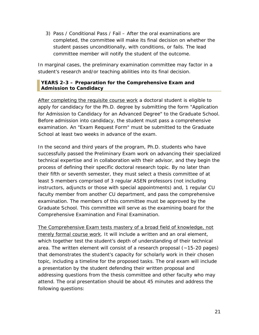3) Pass / Conditional Pass / Fail – After the oral examinations are completed, the committee will make its final decision on whether the student passes unconditionally, with conditions, or fails. The lead committee member will notify the student of the outcome.

In marginal cases, the preliminary examination committee may factor in a student's research and/or teaching abilities into its final decision.

## <span id="page-20-0"></span>**YEARS 2-3 – Preparation for the Comprehensive Exam and Admission to Candidacy**

After completing the requisite course work a doctoral student is eligible to apply for candidacy for the Ph.D. degree by submitting the form "Application for Admission to Candidacy for an Advanced Degree" to the Graduate School. Before admission into candidacy, the student must pass a comprehensive examination. An "Exam Request Form" must be submitted to the Graduate School at least two weeks in advance of the exam.

In the second and third years of the program, Ph.D. students who have successfully passed the Preliminary Exam work on advancing their specialized technical expertise and in collaboration with their advisor, and they begin the process of defining their specific doctoral research topic. By no later than their fifth or seventh semester, they must select a thesis committee of at least 5 members comprised of 3 regular ASEN professors (not including instructors, adjuncts or those with special appointments) and, 1 regular CU faculty member from another CU department, and pass the comprehensive examination. The members of this committee must be approved by the Graduate School. This committee will serve as the examining board for the Comprehensive Examination and Final Examination.

The Comprehensive Exam tests mastery of a broad field of knowledge, not merely formal course work. It will include a written and an oral element, which together test the student's depth of understanding of their technical area. The written element will consist of a research proposal (~15-20 pages) that demonstrates the student's capacity for scholarly work in their chosen topic, including a timeline for the proposed tasks. The oral exam will include a presentation by the student defending their written proposal and addressing questions from the thesis committee and other faculty who may attend. The oral presentation should be about 45 minutes and address the following questions: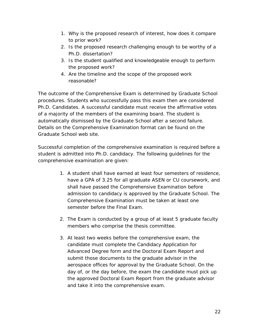- 1. Why is the proposed research of interest, how does it compare to prior work?
- 2. Is the proposed research challenging enough to be worthy of a Ph.D. dissertation?
- 3. Is the student qualified and knowledgeable enough to perform the proposed work?
- 4. Are the timeline and the scope of the proposed work reasonable?

The outcome of the Comprehensive Exam is determined by Graduate School procedures. Students who successfully pass this exam then are considered Ph.D. Candidates. A successful candidate must receive the affirmative votes of a majority of the members of the examining board. The student is automatically dismissed by the Graduate School after a second failure. Details on the Comprehensive Examination format can be found on the Graduate School web site.

Successful completion of the comprehensive examination is required before a student is admitted into Ph.D. candidacy. The following guidelines for the comprehensive examination are given:

- 1. A student shall have earned at least four semesters of residence, have a GPA of 3.25 for all graduate ASEN or CU coursework, and shall have passed the Comprehensive Examination before admission to candidacy is approved by the Graduate School. The Comprehensive Examination must be taken at least one semester before the Final Exam.
- 2. The Exam is conducted by a group of at least 5 graduate faculty members who comprise the thesis committee.
- 3. At least two weeks before the comprehensive exam, the candidate must complete the Candidacy Application for Advanced Degree form and the Doctoral Exam Report and submit those documents to the graduate advisor in the aerospace offices for approval by the Graduate School. On the day of, or the day before, the exam the candidate must pick up the approved Doctoral Exam Report from the graduate advisor and take it into the comprehensive exam.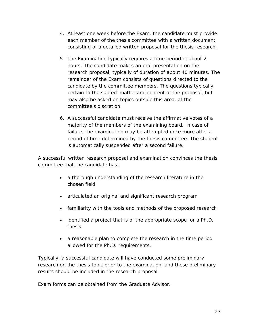- 4. At least one week before the Exam, the candidate must provide each member of the thesis committee with a written document consisting of a detailed written proposal for the thesis research.
- 5. The Examination typically requires a time period of about 2 hours. The candidate makes an oral presentation on the research proposal, typically of duration of about 40 minutes. The remainder of the Exam consists of questions directed to the candidate by the committee members. The questions typically pertain to the subject matter and content of the proposal, but may also be asked on topics outside this area, at the committee's discretion.
- 6. A successful candidate must receive the affirmative votes of a majority of the members of the examining board. In case of failure, the examination may be attempted once more after a period of time determined by the thesis committee. The student is automatically suspended after a second failure.

A successful written research proposal and examination convinces the thesis committee that the candidate has:

- a thorough understanding of the research literature in the chosen field
- articulated an original and significant research program
- familiarity with the tools and methods of the proposed research
- identified a project that is of the appropriate scope for a Ph.D. thesis
- a reasonable plan to complete the research in the time period allowed for the Ph.D. requirements.

Typically, a successful candidate will have conducted some preliminary research on the thesis topic prior to the examination, and these preliminary results should be included in the research proposal.

Exam forms can be obtained from the Graduate Advisor.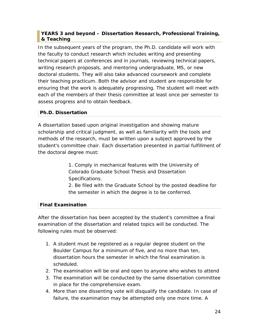## <span id="page-23-0"></span>**YEARS 3 and beyond – Dissertation Research, Professional Training, & Teaching**

In the subsequent years of the program, the Ph.D. candidate will work with the faculty to conduct research which includes writing and presenting technical papers at conferences and in journals, reviewing technical papers, writing research proposals, and mentoring undergraduate, MS, or new doctoral students. They will also take advanced coursework and complete their teaching practicum. Both the advisor and student are responsible for ensuring that the work is adequately progressing. The student will meet with each of the members of their thesis committee at least once per semester to assess progress and to obtain feedback.

## **Ph.D. Dissertation**

A dissertation based upon original investigation and showing mature scholarship and critical judgment, as well as familiarity with the tools and methods of the research, must be written upon a subject approved by the student's committee chair. Each dissertation presented in partial fulfillment of the doctoral degree must:

> 1. Comply in mechanical features with the University of Colorado Graduate School Thesis and Dissertation Specifications.

2. Be filed with the Graduate School by the posted deadline for the semester in which the degree is to be conferred.

## **Final Examination**

After the dissertation has been accepted by the student's committee a final examination of the dissertation and related topics will be conducted. The following rules must be observed:

- 1. A student must be registered as a regular degree student on the Boulder Campus for a minimum of five, and no more than ten, dissertation hours the semester in which the final examination is scheduled.
- 2. The examination will be oral and open to anyone who wishes to attend
- 3. The examination will be conducted by the same dissertation committee in place for the comprehensive exam.
- 4. More than one dissenting vote will disqualify the candidate. In case of failure, the examination may be attempted only one more time. A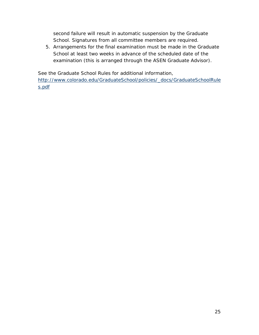second failure will result in automatic suspension by the Graduate School. Signatures from all committee members are required.

5. Arrangements for the final examination must be made in the Graduate School at least two weeks in advance of the scheduled date of the examination (this is arranged through the ASEN Graduate Advisor).

See the Graduate School Rules for additional information,

[http://www.colorado.edu/GraduateSchool/policies/\\_docs/GraduateSchoolRule](http://www.colorado.edu/GraduateSchool/policies/_docs/GraduateSchoolRules.pdf) [s.pdf](http://www.colorado.edu/GraduateSchool/policies/_docs/GraduateSchoolRules.pdf)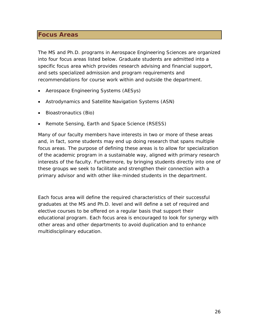## <span id="page-25-0"></span>**Focus Areas**

The MS and Ph.D. programs in Aerospace Engineering Sciences are organized into four focus areas listed below. Graduate students are admitted into a specific focus area which provides research advising and financial support, and sets specialized admission and program requirements and recommendations for course work within and outside the department.

- Aerospace Engineering Systems (AESys)
- Astrodynamics and Satellite Navigation Systems (ASN)
- Bioastronautics (Bio)
- Remote Sensing, Earth and Space Science (RSESS)

Many of our faculty members have interests in two or more of these areas and, in fact, some students may end up doing research that spans multiple focus areas. The purpose of defining these areas is to allow for specialization of the academic program in a sustainable way, aligned with primary research interests of the faculty. Furthermore, by bringing students directly into one of these groups we seek to facilitate and strengthen their connection with a primary advisor and with other like-minded students in the department.

Each focus area will define the required characteristics of their successful graduates at the MS and Ph.D. level and will define a set of required and elective courses to be offered on a regular basis that support their educational program. Each focus area is encouraged to look for synergy with other areas and other departments to avoid duplication and to enhance multidisciplinary education.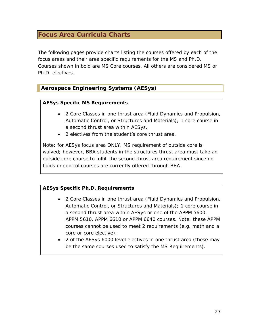## <span id="page-26-0"></span>**Focus Area Curricula Charts**

The following pages provide charts listing the courses offered by each of the focus areas and their area specific requirements for the MS and Ph.D. Courses shown in bold are MS Core courses. All others are considered MS or Ph.D. electives.

## <span id="page-26-1"></span>**Aerospace Engineering Systems (AESys)**

#### **AESys Specific MS Requirements**

- 2 Core Classes in one thrust area (Fluid Dynamics and Propulsion, Automatic Control, or Structures and Materials); 1 core course in a second thrust area within AESys.
- 2 electives from the student's core thrust area.

Note: for AESys focus area ONLY, MS requirement of outside core is waived; however, BBA students in the structures thrust area must take an outside core course to fulfill the second thrust area requirement since no fluids or control courses are currently offered through BBA.

## **AESys Specific Ph.D. Requirements**

- 2 Core Classes in one thrust area (Fluid Dynamics and Propulsion, Automatic Control, or Structures and Materials); 1 core course in a second thrust area within AESys or one of the APPM 5600, APPM 5610, APPM 6610 or APPM 6640 courses. Note: these APPM courses cannot be used to meet 2 requirements (e.g. math and a core or core elective).
- 2 of the AESys 6000 level electives in one thrust area (these may be the same courses used to satisfy the MS Requirements).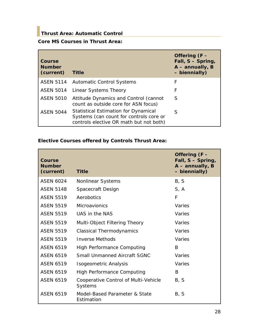## <span id="page-27-0"></span>**Thrust Area: Automatic Control**

## **Core MS Courses in Thrust Area:**

| Course<br><b>Number</b><br>(current) | <b>Title</b>                                                                                                                      | Offering (F -<br>Fall, S - Spring,<br>$A$ – annually, B<br>- biennially) |
|--------------------------------------|-----------------------------------------------------------------------------------------------------------------------------------|--------------------------------------------------------------------------|
|                                      | <b>ASEN 5114</b> Automatic Control Systems                                                                                        | F                                                                        |
| <b>ASEN 5014</b>                     | Linear Systems Theory                                                                                                             | F                                                                        |
| <b>ASEN 5010</b>                     | Attitude Dynamics and Control (cannot<br>count as outside core for ASN focus)                                                     | S                                                                        |
| <b>ASEN 5044</b>                     | <b>Statistical Estimation for Dynamical</b><br>Systems (can count for controls core or<br>controls elective OR math but not both) | S                                                                        |

## **Elective Courses offered by Controls Thrust Area:**

| Course<br><b>Number</b><br>(current) | <b>Title</b>                                    | Offering (F -<br>Fall, S - Spring,<br>$A$ – annually, B<br>- biennially) |
|--------------------------------------|-------------------------------------------------|--------------------------------------------------------------------------|
| <b>ASEN 6024</b>                     | Nonlinear Systems                               | B, S                                                                     |
| <b>ASEN 5148</b>                     | Spacecraft Design                               | S, A                                                                     |
| <b>ASEN 5519</b>                     | Aerobotics                                      | F                                                                        |
| <b>ASEN 5519</b>                     | Microavionics                                   | Varies                                                                   |
| <b>ASEN 5519</b>                     | UAS in the NAS                                  | Varies                                                                   |
| <b>ASEN 5519</b>                     | Multi-Object Filtering Theory                   | Varies                                                                   |
| <b>ASEN 5519</b>                     | <b>Classical Thermodynamics</b>                 | Varies                                                                   |
| <b>ASEN 5519</b>                     | <b>Inverse Methods</b>                          | Varies                                                                   |
| <b>ASEN 6519</b>                     | <b>High Performance Computing</b>               | B                                                                        |
| <b>ASEN 6519</b>                     | <b>Small Unmanned Aircraft SGNC</b>             | Varies                                                                   |
| <b>ASEN 6519</b>                     | Isogeometric Analysis                           | Varies                                                                   |
| <b>ASEN 6519</b>                     | <b>High Performance Computing</b>               | B                                                                        |
| <b>ASEN 6519</b>                     | Cooperative Control of Multi-Vehicle<br>Systems | B, S                                                                     |
| <b>ASEN 6519</b>                     | Model-Based Parameter & State<br>Estimation     | B, S                                                                     |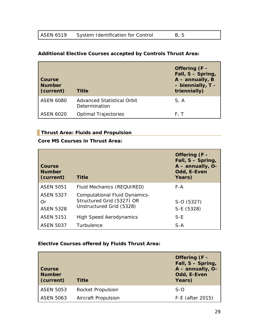| <b>ASEN 6519</b> | System Identification for Control | - B, S |  |
|------------------|-----------------------------------|--------|--|

## **Additional Elective Courses accepted by Controls Thrust Area:**

| Course<br><b>Number</b><br>(current) | <b>Title</b>                                | Offering (F -<br>Fall, S - Spring,<br>$A$ – annually, B<br>- biennially, T -<br>triennially) |
|--------------------------------------|---------------------------------------------|----------------------------------------------------------------------------------------------|
| <b>ASEN 6080</b>                     | Advanced Statistical Orbit<br>Determination | S, A                                                                                         |
| <b>ASEN 6020</b>                     | <b>Optimal Trajectories</b>                 | F. T                                                                                         |

## <span id="page-28-0"></span>**Thrust Area: Fluids and Propulsion**

## **Core MS Courses in Thrust Area:**

| Course<br><b>Number</b><br>(current)       | <b>Title</b>                                                                                  | Offering (F -<br>Fall, S - Spring,<br>A - annually, O-<br>Odd, E-Even<br>Years) |
|--------------------------------------------|-----------------------------------------------------------------------------------------------|---------------------------------------------------------------------------------|
| <b>ASEN 5051</b>                           | Fluid Mechanics (REQUIRED)                                                                    | F-A                                                                             |
| <b>ASEN 5327</b><br>Or<br><b>ASEN 5328</b> | <b>Computational Fluid Dynamics-</b><br>Structured Grid (5327) OR<br>Unstructured Grid (5328) | S-O (5327)<br>S-E (5328)                                                        |
| <b>ASEN 5151</b>                           | <b>High Speed Aerodynamics</b>                                                                | $S-E$                                                                           |
| <b>ASEN 5037</b>                           | Turbulence                                                                                    | $S-A$                                                                           |

## **Elective Courses offered by Fluids Thrust Area:**

| Course<br><b>Number</b><br>(current) | <b>Title</b>             | Offering (F -<br>Fall, S - Spring,<br>A - annually, O-<br>Odd, E-Even<br>Years) |
|--------------------------------------|--------------------------|---------------------------------------------------------------------------------|
| <b>ASEN 5053</b>                     | <b>Rocket Propulsion</b> | $S-O$                                                                           |
| <b>ASEN 5063</b>                     | Aircraft Propulsion      | F-E (after 2015)                                                                |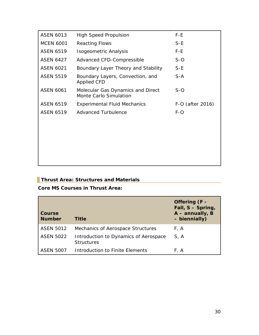| <b>ASEN 6013</b> | <b>High Speed Propulsion</b>                                | F-E              |
|------------------|-------------------------------------------------------------|------------------|
| <b>MCEN 6001</b> | <b>Reacting Flows</b>                                       | $S-E$            |
| <b>ASEN 6519</b> | Isogeometric Analysis                                       | F-E              |
| <b>ASEN 6427</b> | Advanced CFD-Compressible                                   | $S-O$            |
| <b>ASEN 6021</b> | Boundary Layer Theory and Stability                         | $S-E$            |
| <b>ASEN 5519</b> | Boundary Layers, Convection, and<br>Applied CFD             | $S-A$            |
| <b>ASEN 6061</b> | Molecular Gas Dynamics and Direct<br>Monte Carlo Simulation | $S-O$            |
| <b>ASEN 6519</b> | <b>Experimental Fluid Mechanics</b>                         | F-O (after 2016) |
| <b>ASEN 6519</b> | Advanced Turbulence                                         | $F-O$            |
|                  |                                                             |                  |
|                  |                                                             |                  |
|                  |                                                             |                  |
|                  |                                                             |                  |

## <span id="page-29-0"></span>**Thrust Area: Structures and Materials**

**Core MS Courses in Thrust Area:**

| Course<br><b>Number</b> | <b>Title</b>                                               | Offering (F -<br>Fall, S - Spring,<br>$A$ – annually, B<br>- biennially) |
|-------------------------|------------------------------------------------------------|--------------------------------------------------------------------------|
| <b>ASEN 5012</b>        | Mechanics of Aerospace Structures                          | F, A                                                                     |
| <b>ASEN 5022</b>        | Introduction to Dynamics of Aerospace<br><b>Structures</b> | S, A                                                                     |
| ASEN 5007               | Introduction to Finite Elements                            | F.A                                                                      |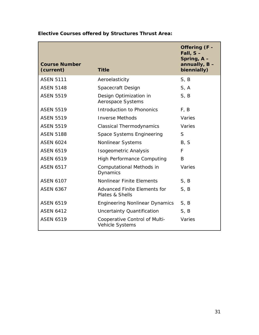| <b>Course Number</b><br>(current) | <b>Title</b>                                     | Offering (F -<br>Fall, $S -$<br>Spring, A-<br>annually, $B -$<br>biennially) |
|-----------------------------------|--------------------------------------------------|------------------------------------------------------------------------------|
| <b>ASEN 5111</b>                  | Aeroelasticity                                   | S, B                                                                         |
| <b>ASEN 5148</b>                  | Spacecraft Design                                | S, A                                                                         |
| <b>ASEN 5519</b>                  | Design Optimization in<br>Aerospace Systems      | S, B                                                                         |
| <b>ASEN 5519</b>                  | <b>Introduction to Phononics</b>                 | F, B                                                                         |
| <b>ASEN 5519</b>                  | <b>Inverse Methods</b>                           | Varies                                                                       |
| <b>ASEN 5519</b>                  | <b>Classical Thermodynamics</b>                  | Varies                                                                       |
| <b>ASEN 5188</b>                  | Space Systems Engineering                        | S                                                                            |
| <b>ASEN 6024</b>                  | Nonlinear Systems                                | B, S                                                                         |
| <b>ASEN 6519</b>                  | Isogeometric Analysis                            | F                                                                            |
| <b>ASEN 6519</b>                  | <b>High Performance Computing</b>                | B                                                                            |
| <b>ASEN 6517</b>                  | Computational Methods in<br>Dynamics             | Varies                                                                       |
| <b>ASEN 6107</b>                  | <b>Nonlinear Finite Elements</b>                 | S, B                                                                         |
| <b>ASEN 6367</b>                  | Advanced Finite Elements for<br>Plates & Shells  | S, B                                                                         |
| <b>ASEN 6519</b>                  | <b>Engineering Nonlinear Dynamics</b>            | S, B                                                                         |
| <b>ASEN 6412</b>                  | Uncertainty Quantification                       | S, B                                                                         |
| <b>ASEN 6519</b>                  | Cooperative Control of Multi-<br>Vehicle Systems | Varies                                                                       |

**Elective Courses offered by Structures Thrust Area:**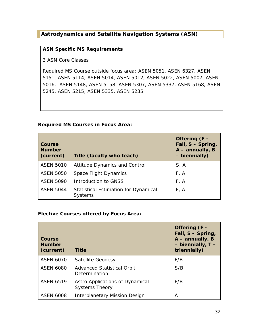## <span id="page-31-0"></span>**Astrodynamics and Satellite Navigation Systems (ASN)**

#### **ASN Specific MS Requirements**

3 ASN Core Classes

Required MS Course outside focus area: ASEN 5051, ASEN 6327, ASEN 5151, ASEN 5114, ASEN 5014, ASEN 5012, ASEN 5022, ASEN 5007, ASEN 5016, ASEN 5148, ASEN 5158, ASEN 5307, ASEN 5337, ASEN 5168, ASEN 5245, ASEN 5215, ASEN 5335, ASEN 5235

#### **Required MS Courses in Focus Area:**

| <b>Course</b><br><b>Number</b><br>(current) | Title (faculty who teach)                                     | Offering (F -<br>Fall, S - Spring,<br>$A$ – annually, B<br>- biennially) |
|---------------------------------------------|---------------------------------------------------------------|--------------------------------------------------------------------------|
| <b>ASEN 5010</b>                            | <b>Attitude Dynamics and Control</b>                          | S, A                                                                     |
| <b>ASEN 5050</b>                            | Space Flight Dynamics                                         | F, A                                                                     |
| <b>ASEN 5090</b>                            | Introduction to GNSS                                          | F, A                                                                     |
| <b>ASEN 5044</b>                            | <b>Statistical Estimation for Dynamical</b><br><b>Systems</b> | F, A                                                                     |

## **Elective Courses offered by Focus Area:**

| Course<br><b>Number</b><br>(current) | <b>Title</b>                                             | Offering (F -<br>Fall, S - Spring,<br>$A$ – annually, B<br>- biennially, T -<br>triennially) |
|--------------------------------------|----------------------------------------------------------|----------------------------------------------------------------------------------------------|
| <b>ASEN 6070</b>                     | Satellite Geodesy                                        | F/B                                                                                          |
| <b>ASEN 6080</b>                     | <b>Advanced Statistical Orbit</b><br>Determination       | S/B                                                                                          |
| <b>ASEN 6519</b>                     | Astro Applications of Dynamical<br><b>Systems Theory</b> | F/B                                                                                          |
| ASEN 6008                            | <b>Interplanetary Mission Design</b>                     | А                                                                                            |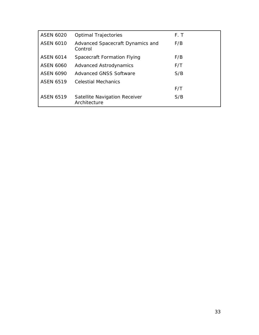| <b>ASEN 6020</b> | <b>Optimal Trajectories</b>                   | F.T |
|------------------|-----------------------------------------------|-----|
| <b>ASEN 6010</b> | Advanced Spacecraft Dynamics and<br>Control   | F/B |
| <b>ASEN 6014</b> | Spacecraft Formation Flying                   | F/B |
| <b>ASEN 6060</b> | <b>Advanced Astrodynamics</b>                 | F/T |
| <b>ASEN 6090</b> | <b>Advanced GNSS Software</b>                 | S/B |
| <b>ASEN 6519</b> | <b>Celestial Mechanics</b>                    |     |
|                  |                                               | F/T |
| <b>ASEN 6519</b> | Satellite Navigation Receiver<br>Architecture | S/B |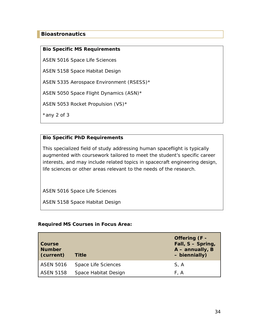## <span id="page-33-0"></span>**Bioastronautics**

#### **Bio Specific MS Requirements**

ASEN 5016 Space Life Sciences

ASEN 5158 Space Habitat Design

ASEN 5335 Aerospace Environment (RSESS)\*

ASEN 5050 Space Flight Dynamics (ASN)\*

ASEN 5053 Rocket Propulsion (VS)\*

\*any 2 of 3

#### **Bio Specific PhD Requirements**

This specialized field of study addressing human spaceflight is typically augmented with coursework tailored to meet the student's specific career interests, and may include related topics in spacecraft engineering design, life sciences or other areas relevant to the needs of the research.

ASEN 5016 Space Life Sciences

ASEN 5158 Space Habitat Design

#### **Required MS Courses in Focus Area:**

| Course<br><b>Number</b><br>(current) | <b>Title</b>         | Offering (F -<br>Fall, S - Spring,<br>$A$ – annually, B<br>- biennially) |
|--------------------------------------|----------------------|--------------------------------------------------------------------------|
| <b>ASEN 5016</b>                     | Space Life Sciences  | S, A                                                                     |
| <b>ASEN 5158</b>                     | Space Habitat Design | F.A                                                                      |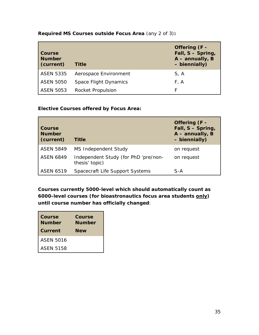| <b>Course</b><br><b>Number</b><br>(current) | <b>Title</b>          | Offering (F -<br>Fall, S - Spring,<br>A - annually, B<br>- biennially) |
|---------------------------------------------|-----------------------|------------------------------------------------------------------------|
| <b>ASEN 5335</b>                            | Aerospace Environment | S, A                                                                   |
| <b>ASEN 5050</b>                            | Space Flight Dynamics | F, A                                                                   |
| <b>ASEN 5053</b>                            | Rocket Propulsion     | F                                                                      |

**Required MS Courses outside Focus Area** (any 2 of 3)**:**

## **Elective Courses offered by Focus Area:**

| Course<br><b>Number</b><br>(current) | <b>Title</b>                                           | Offering (F -<br>Fall, S - Spring,<br>A - annually, B<br>- biennially) |
|--------------------------------------|--------------------------------------------------------|------------------------------------------------------------------------|
| <b>ASEN 5849</b>                     | MS Independent Study                                   | on request                                                             |
| <b>ASEN 6849</b>                     | Independent Study (for PhD 'pre/non-<br>thesis' topic) | on request                                                             |
| <b>ASEN 6519</b>                     | Spacecraft Life Support Systems                        | S-A                                                                    |

**Courses currently 5000-level which should automatically count as 6000-level courses (for bioastronautics focus area students only) until course number has officially changed**:

| <b>Course</b><br><b>Number</b><br><b>Current</b> | <b>Course</b><br><b>Number</b><br><b>New</b> |
|--------------------------------------------------|----------------------------------------------|
| <b>ASEN 5016</b>                                 |                                              |
| <b>ASEN 5158</b>                                 |                                              |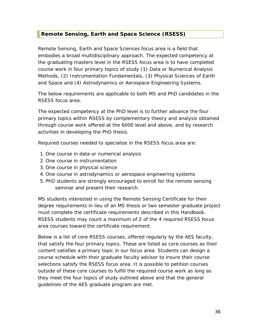## <span id="page-35-0"></span>**Remote Sensing, Earth and Space Science (RSESS)**

Remote Sensing, Earth and Space Sciences focus area is a field that embodies a broad multidisciplinary approach. The expected competency at the graduating masters level in the RSESS focus area is to have completed course work in four primary topics of study (1) Data or Numerical Analysis Methods, (2) Instrumentation Fundamentals, (3) Physical Sciences of Earth and Space and (4) Astrodynamics or Aerospace Engineering Systems.

The below requirements are applicable to both MS and PhD candidates in the RSESS focus area.

The expected competency at the PhD level is to further advance the four primary topics within RSESS by complementary theory and analysis obtained through course work offered at the 6000 level and above, and by research activities in developing the PhD thesis.

Required courses needed to specialize in the RSESS focus area are:

- 1. One course in data or numerical analysis
- 2. One course in instrumentation
- 3. One course in physical science
- 4. One course in astrodynamics or aerospace engineering systems
- 5. PhD students are strongly encouraged to enroll for the remote sensing seminar and present their research.

MS students interested in using the Remote Sensing Certificate for their degree requirements in lieu of an MS thesis or two semester graduate project must complete the certificate requirements described in this Handbook. RSESS students may count a maximum of 2 of the 4 required RSESS focus area courses toward the certificate requirement.

Below is a list of core RSESS courses, offered regularly by the AES faculty, that satisfy the four primary topics. These are listed as core courses as their content satisfies a primary topic in our focus area. Students can design a course schedule with their graduate faculty advisor to insure their course selections satisfy the RSESS focus area. It is possible to petition courses outside of these core courses to fulfill the required course work as long as they meet the four topics of study outlined above and that the general guidelines of the AES graduate program are met.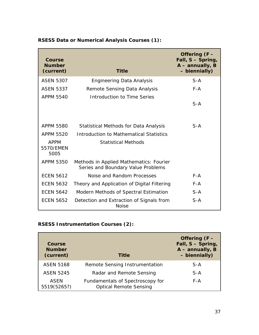| Course<br><b>Number</b><br>(current) | <b>Title</b>                                                                  | Offering (F -<br>Fall, S - Spring,<br>$A$ – annually, B<br>- biennially) |
|--------------------------------------|-------------------------------------------------------------------------------|--------------------------------------------------------------------------|
| <b>ASEN 5307</b>                     | <b>Engineering Data Analysis</b>                                              | $S-A$                                                                    |
| <b>ASEN 5337</b>                     | Remote Sensing Data Analysis                                                  | $F - A$                                                                  |
| <b>APPM 5540</b>                     | Introduction to Time Series                                                   | $S-A$                                                                    |
| <b>APPM 5580</b>                     | Statistical Methods for Data Analysis                                         | $S-A$                                                                    |
| <b>APPM 5520</b>                     | Introduction to Mathematical Statistics                                       |                                                                          |
| <b>APPM</b><br>5570/EMEN<br>5005     | <b>Statistical Methods</b>                                                    |                                                                          |
| APPM 5350                            | Methods in Applied Mathematics: Fourier<br>Series and Boundary Value Problems |                                                                          |
| <b>ECEN 5612</b>                     | Noise and Random Processes                                                    | $F - A$                                                                  |
| <b>ECEN 5632</b>                     | Theory and Application of Digital Filtering                                   | $F - A$                                                                  |
| <b>ECEN 5642</b>                     | Modern Methods of Spectral Estimation                                         | $S-A$                                                                    |
| <b>ECEN 5652</b>                     | Detection and Extraction of Signals from<br><b>Noise</b>                      | $S-A$                                                                    |

## **RSESS Data or Numerical Analysis Courses (1):**

## **RSESS Instrumentation Courses (2):**

| Course<br><b>Number</b><br>(current) | Title                                                             | Offering (F -<br>Fall, S - Spring,<br>$A$ – annually, B<br>- biennially) |
|--------------------------------------|-------------------------------------------------------------------|--------------------------------------------------------------------------|
| <b>ASEN 5168</b>                     | Remote Sensing Instrumentation                                    | $S-A$                                                                    |
| <b>ASEN 5245</b>                     | Radar and Remote Sensing                                          | $S-A$                                                                    |
| <b>ASEN</b><br>5519(5265?)           | Fundamentals of Spectroscopy for<br><b>Optical Remote Sensing</b> | F-A                                                                      |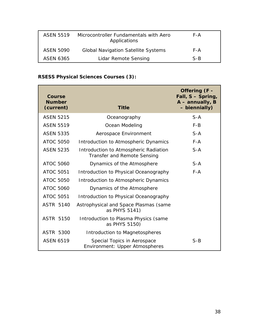| <b>ASFN 5519</b> | Microcontroller Fundamentals with Aero<br>Applications | F-A   |
|------------------|--------------------------------------------------------|-------|
| ASEN 5090        | <b>Global Navigation Satellite Systems</b>             | F-A   |
| ASEN 6365        | Lidar Remote Sensing                                   | $S-B$ |

## **RSESS Physical Sciences Courses (3):**

| Course<br><b>Number</b><br>(current) | <b>Title</b>                                                                | Offering (F -<br>Fall, S - Spring,<br>$A$ – annually, B<br>- biennially) |
|--------------------------------------|-----------------------------------------------------------------------------|--------------------------------------------------------------------------|
| <b>ASEN 5215</b>                     | Oceanography                                                                | $S-A$                                                                    |
| <b>ASEN 5519</b>                     | Ocean Modeling                                                              | $F-B$                                                                    |
| <b>ASEN 5335</b>                     | Aerospace Environment                                                       | $S-A$                                                                    |
| <b>ATOC 5050</b>                     | Introduction to Atmospheric Dynamics                                        | $F - A$                                                                  |
| <b>ASEN 5235</b>                     | Introduction to Atmospheric Radiation<br><b>Transfer and Remote Sensing</b> | $S-A$                                                                    |
| <b>ATOC 5060</b>                     | Dynamics of the Atmosphere                                                  | $S-A$                                                                    |
| <b>ATOC 5051</b>                     | Introduction to Physical Oceanography                                       | $F - A$                                                                  |
| <b>ATOC 5050</b>                     | Introduction to Atmospheric Dynamics                                        |                                                                          |
| <b>ATOC 5060</b>                     | Dynamics of the Atmosphere                                                  |                                                                          |
| <b>ATOC 5051</b>                     | Introduction to Physical Oceanography                                       |                                                                          |
| <b>ASTR 5140</b>                     | Astrophysical and Space Plasmas (same<br>as PHYS 5141)                      |                                                                          |
| <b>ASTR 5150</b>                     | Introduction to Plasma Physics (same<br>as PHYS 5150)                       |                                                                          |
| ASTR 5300                            | Introduction to Magnetospheres                                              |                                                                          |
| <b>ASEN 6519</b>                     | Special Topics in Aerospace<br>Environment: Upper Atmospheres               | $S-B$                                                                    |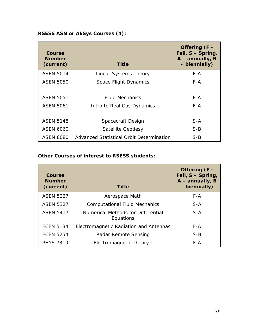## **RSESS ASN or AESys Courses (4):**

| Course<br><b>Number</b><br>(current) | <b>Title</b>                             | Offering (F -<br>Fall, S - Spring,<br>$A$ – annually, B<br>- biennially) |
|--------------------------------------|------------------------------------------|--------------------------------------------------------------------------|
| <b>ASEN 5014</b>                     | Linear Systems Theory                    | F-A                                                                      |
| ASEN 5050                            | Space Flight Dynamics                    | F-A                                                                      |
| ASEN 5051                            | <b>Fluid Mechanics</b>                   | F-A                                                                      |
| <b>ASEN 5061</b>                     | Intro to Real Gas Dynamics               | F-A                                                                      |
| <b>ASFN 5148</b>                     | Spacecraft Design                        | $S-A$                                                                    |
| <b>ASEN 6060</b>                     | Satellite Geodesy                        | $S-B$                                                                    |
| ASEN 6080                            | Advanced Statistical Orbit Determination | $S-B$                                                                    |

## **Other Courses of interest to RSESS students:**

| Course<br><b>Number</b><br>(current) | <b>Title</b>                                    | Offering (F -<br>Fall, S - Spring,<br>$A$ – annually, B<br>- biennially) |
|--------------------------------------|-------------------------------------------------|--------------------------------------------------------------------------|
| <b>ASEN 5227</b>                     | Aerospace Math                                  | $F - A$                                                                  |
| <b>ASEN 5327</b>                     | <b>Computational Fluid Mechanics</b>            | $S-A$                                                                    |
| <b>ASEN 5417</b>                     | Numerical Methods for Differential<br>Equations | $S-A$                                                                    |
| <b>ECEN 5134</b>                     | Electromagnetic Radiation and Antennas          | F-A                                                                      |
| <b>ECEN 5254</b>                     | Radar Remote Sensing                            | $S-B$                                                                    |
| <b>PHYS 7310</b>                     | Electromagnetic Theory I                        | F-A                                                                      |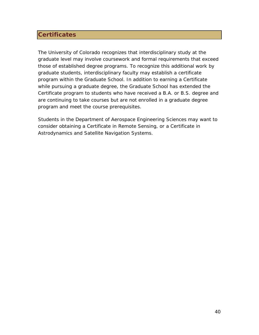## <span id="page-39-0"></span>**Certificates**

The University of Colorado recognizes that interdisciplinary study at the graduate level may involve coursework and formal requirements that exceed those of established degree programs. To recognize this additional work by graduate students, interdisciplinary faculty may establish a certificate program within the Graduate School. In addition to earning a Certificate while pursuing a graduate degree, the Graduate School has extended the Certificate program to students who have received a B.A. or B.S. degree and are continuing to take courses but are not enrolled in a graduate degree program and meet the course prerequisites.

Students in the Department of Aerospace Engineering Sciences may want to consider obtaining a Certificate in Remote Sensing, or a Certificate in Astrodynamics and Satellite Navigation Systems.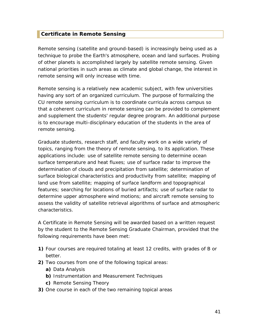## <span id="page-40-0"></span>**Certificate in Remote Sensing**

Remote sensing (satellite and ground-based) is increasingly being used as a technique to probe the Earth's atmosphere, ocean and land surfaces. Probing of other planets is accomplished largely by satellite remote sensing. Given national priorities in such areas as climate and global change, the interest in remote sensing will only increase with time.

Remote sensing is a relatively new academic subject, with few universities having any sort of an organized curriculum. The purpose of formalizing the CU remote sensing curriculum is to coordinate curricula across campus so that a coherent curriculum in remote sensing can be provided to complement and supplement the students' regular degree program. An additional purpose is to encourage multi-disciplinary education of the students in the area of remote sensing.

Graduate students, research staff, and faculty work on a wide variety of topics, ranging from the theory of remote sensing, to its application. These applications include: use of satellite remote sensing to determine ocean surface temperature and heat fluxes; use of surface radar to improve the determination of clouds and precipitation from satellite; determination of surface biological characteristics and productivity from satellite; mapping of land use from satellite; mapping of surface landform and topographical features; searching for locations of buried artifacts; use of surface radar to determine upper atmosphere wind motions; and aircraft remote sensing to assess the validity of satellite retrieval algorithms of surface and atmospheric characteristics.

A Certificate in Remote Sensing will be awarded based on a written request by the student to the Remote Sensing Graduate Chairman, provided that the following requirements have been met:

- **1)** Four courses are required totaling at least 12 credits, with grades of B or better.
- **2)** Two courses from one of the following topical areas:
	- **a)** Data Analysis
	- **b)** Instrumentation and Measurement Techniques
	- **c)** Remote Sensing Theory
- **3)** One course in each of the two remaining topical areas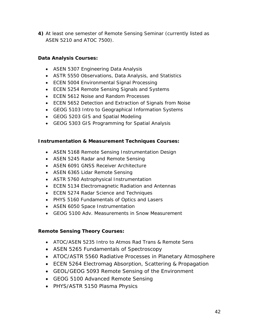**4)** At least one semester of Remote Sensing Seminar (currently listed as ASEN 5210 and ATOC 7500).

## **Data Analysis Courses:**

- ASEN 5307 Engineering Data Analysis
- ASTR 5550 Observations, Data Analysis, and Statistics
- ECEN 5004 Environmental Signal Processing
- ECEN 5254 Remote Sensing Signals and Systems
- ECEN 5612 Noise and Random Processes
- ECEN 5652 Detection and Extraction of Signals from Noise
- GEOG 5103 Intro to Geographical Information Systems
- GEOG 5203 GIS and Spatial Modeling
- GEOG 5303 GIS Programming for Spatial Analysis

## **Instrumentation & Measurement Techniques Courses:**

- ASEN 5168 Remote Sensing Instrumentation Design
- ASEN 5245 Radar and Remote Sensing
- ASEN 6091 GNSS Receiver Architecture
- ASEN 6365 Lidar Remote Sensing
- ASTR 5760 Astrophysical Instrumentation
- ECEN 5134 Electromagnetic Radiation and Antennas
- ECEN 5274 Radar Science and Techniques
- PHYS 5160 Fundamentals of Optics and Lasers
- ASEN 6050 Space Instrumentation
- GEOG 5100 Adv. Measurements in Snow Measurement

## **Remote Sensing Theory Courses:**

- ATOC/ASEN 5235 Intro to Atmos Rad Trans & Remote Sens
- ASEN 5265 Fundamentals of Spectroscopy
- ATOC/ASTR 5560 Radiative Processes in Planetary Atmosphere
- ECEN 5264 Electromag Absorption, Scattering & Propagation
- GEOL/GEOG 5093 Remote Sensing of the Environment
- GEOG 5100 Advanced Remote Sensing
- PHYS/ASTR 5150 Plasma Physics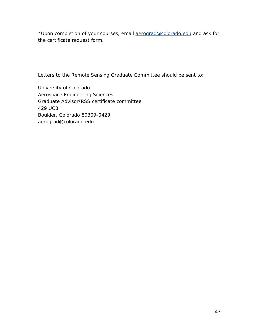\*Upon completion of your courses, email [aerograd@colorado.edu](mailto:aerograd@colorado.edu) and ask for the certificate request form.

Letters to the Remote Sensing Graduate Committee should be sent to:

University of Colorado Aerospace Engineering Sciences Graduate Advisor/RSS certificate committee 429 UCB Boulder, Colorado 80309-0429 aerograd@colorado.edu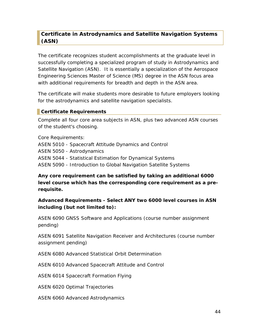## <span id="page-43-0"></span>**Certificate in Astrodynamics and Satellite Navigation Systems (ASN)**

The certificate recognizes student accomplishments at the graduate level in successfully completing a specialized program of study in Astrodynamics and Satellite Navigation (ASN). It is essentially a specialization of the Aerospace Engineering Sciences Master of Science (MS) degree in the ASN focus area with additional requirements for breadth and depth in the ASN area.

The certificate will make students more desirable to future employers looking for the astrodynamics and satellite navigation specialists.

## <span id="page-43-1"></span>**Certificate Requirements**

Complete all four core area subjects in ASN, plus two advanced ASN courses of the student's choosing.

Core Requirements: ASEN 5010 - Spacecraft Attitude Dynamics and Control ASEN 5050 - Astrodynamics ASEN 5044 - Statistical Estimation for Dynamical Systems ASEN 5090 - Introduction to Global Navigation Satellite Systems

**Any core requirement can be satisfied by taking an additional 6000 level course which has the corresponding core requirement as a prerequisite.**

## **Advanced Requirements - Select ANY two 6000 level courses in ASN including (but not limited to):**

ASEN 6090 GNSS Software and Applications (course number assignment pending)

ASEN 6091 Satellite Navigation Receiver and Architectures (course number assignment pending)

ASEN 6080 Advanced Statistical Orbit Determination

ASEN 6010 Advanced Spacecraft Attitude and Control

ASEN 6014 Spacecraft Formation Flying

ASEN 6020 Optimal Trajectories

ASEN 6060 Advanced Astrodynamics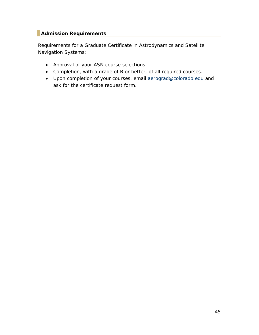## <span id="page-44-0"></span>**Admission Requirements**

Requirements for a Graduate Certificate in Astrodynamics and Satellite Navigation Systems:

- Approval of your ASN course selections.
- Completion, with a grade of B or better, of all required courses.
- Upon completion of your courses, email [aerograd@colorado.edu](mailto:aerograd@colorado.edu) and ask for the certificate request form.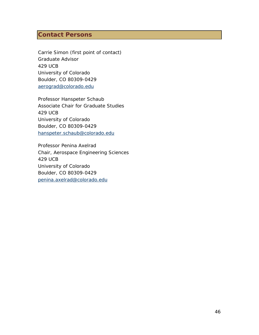## <span id="page-45-0"></span>**Contact Persons**

Carrie Simon (first point of contact) Graduate Advisor 429 UCB University of Colorado Boulder, CO 80309-0429 [aerograd@colorado.edu](mailto:annie.brookover@colorado.edu)

Professor Hanspeter Schaub Associate Chair for Graduate Studies 429 UCB University of Colorado Boulder, CO 80309-0429 [hanspeter.schaub@colorado.edu](mailto:hanspeter.schaub@colorado.edu)

Professor Penina Axelrad Chair, Aerospace Engineering Sciences 429 UCB University of Colorado Boulder, CO 80309-0429 [penina.axelrad@colorado.edu](mailto:penina.axelrad@colorado.edu)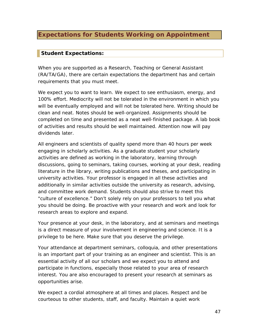## <span id="page-46-0"></span>**Expectations for Students Working on Appointment**

## <span id="page-46-1"></span>**Student Expectations:**

When you are supported as a Research, Teaching or General Assistant (RA/TA/GA), there are certain expectations the department has and certain requirements that you must meet.

We expect you to want to learn. We expect to see enthusiasm, energy, and 100% effort. Mediocrity will not be tolerated in the environment in which you will be eventually employed and will not be tolerated here. Writing should be clean and neat. Notes should be well-organized. Assignments should be completed on time and presented as a neat well-finished package. A lab book of activities and results should be well maintained. Attention now will pay dividends later.

All engineers and scientists of quality spend more than 40 hours per week engaging in scholarly activities. As a graduate student your scholarly activities are defined as working in the laboratory, learning through discussions, going to seminars, taking courses, working at your desk, reading literature in the library, writing publications and theses, and participating in university activities. Your professor is engaged in all these activities and additionally in similar activities outside the university as research, advising, and committee work demand. Students should also strive to meet this "culture of excellence." Don't solely rely on your professors to tell you what you should be doing. Be proactive with your research and work and look for research areas to explore and expand.

Your presence at your desk, in the laboratory, and at seminars and meetings is a direct measure of your involvement in engineering and science. It is a privilege to be here. Make sure that you deserve the privilege.

Your attendance at department seminars, colloquia, and other presentations is an important part of your training as an engineer and scientist. This is an essential activity of all our scholars and we expect you to attend and participate in functions, especially those related to your area of research interest. You are also encouraged to present your research at seminars as opportunities arise.

We expect a cordial atmosphere at all times and places. Respect and be courteous to other students, staff, and faculty. Maintain a quiet work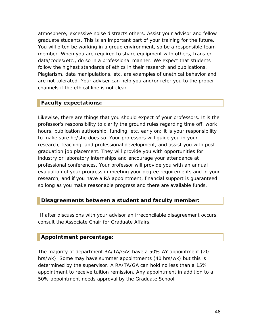atmosphere; excessive noise distracts others. Assist your advisor and fellow graduate students. This is an important part of your training for the future. You will often be working in a group environment, so be a responsible team member. When you are required to share equipment with others, transfer data/codes/etc., do so in a professional manner. We expect that students follow the highest standards of ethics in their research and publications. Plagiarism, data manipulations, etc. are examples of unethical behavior and are not tolerated. Your adviser can help you and/or refer you to the proper channels if the ethical line is not clear.

## <span id="page-47-0"></span>**Faculty expectations:**

Likewise, there are things that you should expect of your professors. It is the professor's responsibility to clarify the ground rules regarding time off, work hours, publication authorship, funding, etc. early on; it is your responsibility to make sure he/she does so. Your professors will guide you in your research, teaching, and professional development, and assist you with postgraduation job placement. They will provide you with opportunities for industry or laboratory internships and encourage your attendance at professional conferences. Your professor will provide you with an annual evaluation of your progress in meeting your degree requirements and in your research, and if you have a RA appointment, financial support is guaranteed so long as you make reasonable progress and there are available funds.

## <span id="page-47-1"></span>**Disagreements between a student and faculty member:**

If after discussions with your advisor an irreconcilable disagreement occurs, consult the Associate Chair for Graduate Affairs.

## <span id="page-47-2"></span>**Appointment percentage:**

The majority of department RA/TA/GAs have a 50% AY appointment (20 hrs/wk). Some may have summer appointments (40 hrs/wk) but this is determined by the supervisor. A RA/TA/GA can hold no less than a 15% appointment to receive tuition remission. Any appointment in addition to a 50% appointment needs approval by the Graduate School.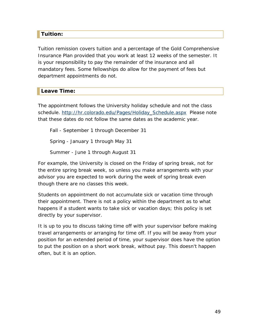## <span id="page-48-0"></span>**Tuition:**

Tuition remission covers tuition and a percentage of the Gold Comprehensive Insurance Plan provided that you work at least 12 weeks of the semester. It is your responsibility to pay the remainder of the insurance and all mandatory fees. Some fellowships do allow for the payment of fees but department appointments do not.

## <span id="page-48-1"></span>**Leave Time:**

The appointment follows the University holiday schedule and not the class schedule. [http://hr.colorado.edu/Pages/Holiday\\_Schedule.aspx](http://hr.colorado.edu/Pages/Holiday_Schedule.aspx) Please note that these dates do not follow the same dates as the academic year.

Fall - September 1 through December 31 Spring - January 1 through May 31 Summer - June 1 through August 31

For example, the University is closed on the Friday of spring break, not for the entire spring break week, so unless you make arrangements with your advisor you are expected to work during the week of spring break even though there are no classes this week.

Students on appointment do not accumulate sick or vacation time through their appointment. There is not a policy within the department as to what happens if a student wants to take sick or vacation days; this policy is set directly by your supervisor.

It is up to you to discuss taking time off with your supervisor before making travel arrangements or arranging for time off. If you will be away from your position for an extended period of time, your supervisor does have the option to put the position on a short work break, without pay. This doesn't happen often, but it is an option.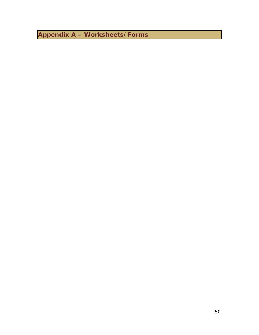<span id="page-49-0"></span>**Appendix A – Worksheets/Forms**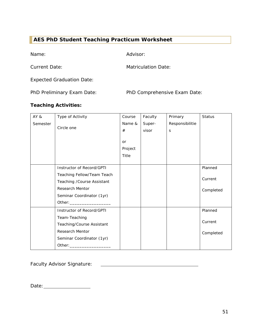## <span id="page-50-0"></span>**AES PhD Student Teaching Practicum Worksheet**

Name: Advisor:

Current Date: Matriculation Date:

Expected Graduation Date:

PhD Preliminary Exam Date: PhD Comprehensive Exam Date:

## **Teaching Activities:**

| AY &     | Type of Activity            | Course    | Faculty | Primary         | <b>Status</b> |
|----------|-----------------------------|-----------|---------|-----------------|---------------|
| Semester |                             | Name &    | Super-  | Responsibilitie |               |
|          | Circle one                  | #         | visor   | S               |               |
|          |                             |           |         |                 |               |
|          |                             | <b>or</b> |         |                 |               |
|          |                             | Project   |         |                 |               |
|          |                             | Title     |         |                 |               |
|          | Instructor of Record/GPTI   |           |         |                 | Planned       |
|          |                             |           |         |                 |               |
|          | Teaching Fellow/Team Teach  |           |         |                 | Current       |
|          | Teaching / Course Assistant |           |         |                 |               |
|          | <b>Research Mentor</b>      |           |         |                 | Completed     |
|          | Seminar Coordinator (1yr)   |           |         |                 |               |
|          |                             |           |         |                 |               |
|          | Instructor of Record/GPTI   |           |         |                 | Planned       |
|          | Team-Teaching               |           |         |                 |               |
|          | Teaching/Course Assistant   |           |         |                 | Current       |
|          | <b>Research Mentor</b>      |           |         |                 | Completed     |
|          | Seminar Coordinator (1yr)   |           |         |                 |               |
|          | Other: ____________         |           |         |                 |               |

<u> 1989 - Johann Barnett, fransk politik (d. 1989)</u>

Faculty Advisor Signature:

Date: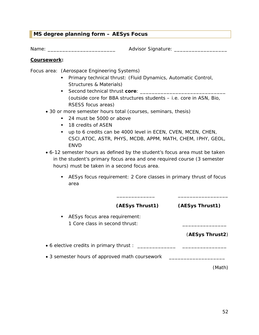## <span id="page-51-0"></span>**MS degree planning form – AESys Focus**

Name: \_\_\_\_\_\_\_\_\_\_\_\_\_\_\_\_\_\_\_\_\_\_\_\_\_\_\_\_ Advisor Signature: \_\_\_\_\_\_\_\_\_\_\_\_\_\_\_\_\_\_\_\_\_\_\_\_\_\_

#### **Coursework:**

Focus area: (Aerospace Engineering Systems)

- **Primary technical thrust: (Fluid Dynamics, Automatic Control,** Structures & Materials)
- Second technical thrust **core**: (outside core for BBA structures students – i.e. core in ASN, Bio, RSESS focus areas)
- 30 or more semester hours total (courses, seminars, thesis)
	- 24 must be 5000 or above
	- 18 credits of ASEN
	- up to 6 credits can be 4000 level in ECEN, CVEN, MCEN, CHEN, CSCI,ATOC, ASTR, PHYS, MCDB, APPM, MATH, CHEM, IPHY, GEOL, ENVD
- 6-12 semester hours as defined by the student's focus area must be taken in the student's primary focus area and one required course (3 semester hours) must be taken in a second focus area.
	- AESys focus requirement: 2 Core classes in primary thrust of focus area

\_\_\_\_\_\_\_\_\_\_\_\_\_ \_\_\_\_\_\_\_\_\_\_\_\_\_\_\_\_\_

|                                                                                 | (AESys Thrust1) | (AESys Thrust1) |
|---------------------------------------------------------------------------------|-----------------|-----------------|
| AESys focus area requirement:<br>$\mathbf{H}$<br>1 Core class in second thrust: |                 |                 |
|                                                                                 |                 | (AESys Thrust2) |
| • 6 elective credits in primary thrust :                                        |                 |                 |
| • 3 semester hours of approved math coursework                                  |                 |                 |
|                                                                                 |                 | (Math)          |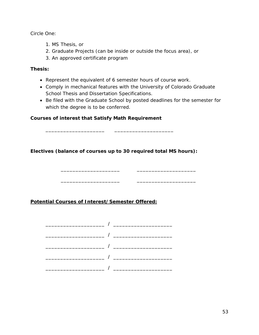Circle One:

- 1. MS Thesis, or
- 2. Graduate Projects (can be inside or outside the focus area), or
- 3. An approved certificate program

## **Thesis:**

- Represent the equivalent of 6 semester hours of course work.
- Comply in mechanical features with the University of Colorado Graduate School Thesis and Dissertation Specifications.
- Be filed with the Graduate School by posted deadlines for the semester for which the degree is to be conferred.

 $\overline{\phantom{a}}$  , and the set of  $\overline{\phantom{a}}$  , and  $\overline{\phantom{a}}$  , and  $\overline{\phantom{a}}$  , and  $\overline{\phantom{a}}$  , and  $\overline{\phantom{a}}$ 

\_\_\_\_\_\_\_\_\_\_\_\_\_\_\_\_\_\_\_\_ \_\_\_\_\_\_\_\_\_\_\_\_\_\_\_\_\_\_\_\_

## **Courses of interest that Satisfy Math Requirement**

**Electives (balance of courses up to 30 required total MS hours):**

**Potential Courses of Interest/Semester Offered:**

\_\_\_\_\_\_\_\_\_\_\_\_\_\_\_\_\_\_\_\_ \_\_\_\_\_\_\_\_\_\_\_\_\_\_\_\_\_\_\_\_

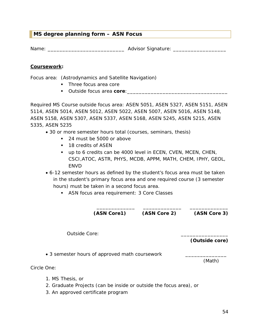## <span id="page-53-0"></span>**MS degree planning form – ASN Focus**

Name: \_\_\_\_\_\_\_\_\_\_\_\_\_\_\_\_\_\_\_\_\_\_\_\_\_\_ Advisor Signature: \_\_\_\_\_\_\_\_\_\_\_\_\_\_\_\_\_\_

#### **Coursework:**

Focus area: (Astrodynamics and Satellite Navigation)

- Three focus area core
- **Outside focus area core:**  $\blacksquare$

Required MS Course outside focus area: ASEN 5051, ASEN 5327, ASEN 5151, ASEN 5114, ASEN 5014, ASEN 5012, ASEN 5022, ASEN 5007, ASEN 5016, ASEN 5148, ASEN 5158, ASEN 5307, ASEN 5337, ASEN 5168, ASEN 5245, ASEN 5215, ASEN 5335, ASEN 5235

- 30 or more semester hours total (courses, seminars, thesis)
	- 24 must be 5000 or above
	- **18 credits of ASEN**
	- up to 6 credits can be 4000 level in ECEN, CVEN, MCEN, CHEN, CSCI,ATOC, ASTR, PHYS, MCDB, APPM, MATH, CHEM, IPHY, GEOL, ENVD
- 6-12 semester hours as defined by the student's focus area must be taken in the student's primary focus area and one required course (3 semester hours) must be taken in a second focus area.
	- **ASN** focus area requirement: 3 Core Classes

\_\_\_\_\_\_\_\_\_\_\_\_\_ \_\_\_\_\_\_\_\_\_\_\_\_\_ \_\_\_\_\_\_\_\_\_\_\_\_\_ **(ASN Core1) (ASN Core 2) (ASN Core 3)**

Outside Core:

**(Outside core)**

• 3 semester hours of approved math coursework

(Math)

Circle One:

- 1. MS Thesis, or
- 2. Graduate Projects (can be inside or outside the focus area), or
- 3. An approved certificate program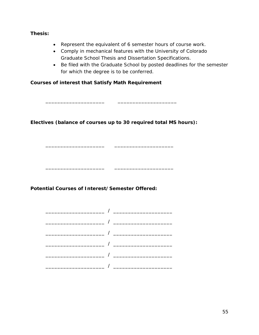#### **Thesis:**

- Represent the equivalent of 6 semester hours of course work.
- Comply in mechanical features with the University of Colorado Graduate School Thesis and Dissertation Specifications.
- Be filed with the Graduate School by posted deadlines for the semester for which the degree is to be conferred.

## **Courses of interest that Satisfy Math Requirement**

**Electives (balance of courses up to 30 required total MS hours):**

\_\_\_\_\_\_\_\_\_\_\_\_\_\_\_\_\_\_\_\_ \_\_\_\_\_\_\_\_\_\_\_\_\_\_\_\_\_\_\_\_

\_\_\_\_\_\_\_\_\_\_\_\_\_\_\_\_\_\_\_\_ \_\_\_\_\_\_\_\_\_\_\_\_\_\_\_\_\_\_\_\_

\_\_\_\_\_\_\_\_\_\_\_\_\_\_\_\_\_\_\_\_ \_\_\_\_\_\_\_\_\_\_\_\_\_\_\_\_\_\_\_\_

**Potential Courses of Interest/Semester Offered:**

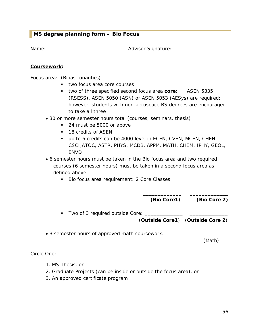## <span id="page-55-0"></span>**MS degree planning form – Bio Focus**

Name: \_\_\_\_\_\_\_\_\_\_\_\_\_\_\_\_\_\_\_\_\_\_\_\_\_ Advisor Signature: \_\_\_\_\_\_\_\_\_\_\_\_\_\_\_\_\_\_

#### **Coursework:**

Focus area: (Bioastronautics)

- **two focus area core courses**
- two of three specified second focus area **core**: ASEN 5335 (RSESS), ASEN 5050 (ASN) or ASEN 5053 (AESys) are required; however, students with non-aerospace BS degrees are encouraged to take all three
- 30 or more semester hours total (courses, seminars, thesis)
	- 24 must be 5000 or above
	- **18 credits of ASEN**
	- up to 6 credits can be 4000 level in ECEN, CVEN, MCEN, CHEN, CSCI,ATOC, ASTR, PHYS, MCDB, APPM, MATH, CHEM, IPHY, GEOL, **FNVD**
- 6 semester hours must be taken in the Bio focus area and two required courses (6 semester hours) must be taken in a second focus area as defined above.
	- Bio focus area requirement: 2 Core Classes

\_\_\_\_\_\_\_\_\_\_\_\_\_ \_\_\_\_\_\_\_\_\_\_\_\_\_ **(Bio Core1) (Bio Core 2)** 

- Two of 3 required outside Core: \_\_\_\_\_\_\_\_ (**Outside Core1**) (**Outside Core 2**)
- 3 semester hours of approved math coursework.

(Math)

Circle One:

- 1. MS Thesis, or
- 2. Graduate Projects (can be inside or outside the focus area), or
- 3. An approved certificate program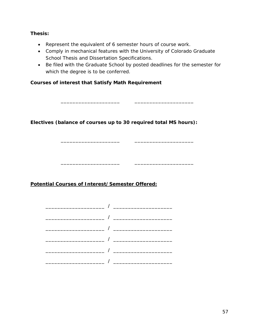#### **Thesis:**

- Represent the equivalent of 6 semester hours of course work.
- Comply in mechanical features with the University of Colorado Graduate School Thesis and Dissertation Specifications.
- Be filed with the Graduate School by posted deadlines for the semester for which the degree is to be conferred.

\_\_\_\_\_\_\_\_\_\_\_\_\_\_\_\_\_\_\_\_ \_\_\_\_\_\_\_\_\_\_\_\_\_\_\_\_\_\_\_\_

\_\_\_\_\_\_\_\_\_\_\_\_\_\_\_\_\_\_\_\_ \_\_\_\_\_\_\_\_\_\_\_\_\_\_\_\_\_\_\_\_

\_\_\_\_\_\_\_\_\_\_\_\_\_\_\_\_\_\_\_\_ \_\_\_\_\_\_\_\_\_\_\_\_\_\_\_\_\_\_\_\_

## **Courses of interest that Satisfy Math Requirement**

**Electives (balance of courses up to 30 required total MS hours):**

## **Potential Courses of Interest/Semester Offered:**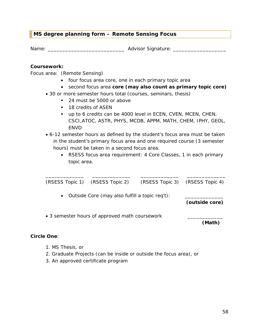## <span id="page-57-0"></span>**MS degree planning form – Remote Sensing Focus**

Name: \_\_\_\_\_\_\_\_\_\_\_\_\_\_\_\_\_\_\_\_\_\_\_\_\_\_ Advisor Signature: \_\_\_\_\_\_\_\_\_\_\_\_\_\_\_\_\_\_

#### **Coursework:**

Focus area: (Remote Sensing)

- four focus area core, one in each primary topic area
- second focus area **core (may also count as primary topic core)**
- 30 or more semester hours total (courses, seminars, thesis)
	- 24 must be 5000 or above
	- **18 credits of ASEN**
	- up to 6 credits can be 4000 level in ECEN, CVEN, MCEN, CHEN, CSCI,ATOC, ASTR, PHYS, MCDB, APPM, MATH, CHEM, IPHY, GEOL, ENVD
- 6-12 semester hours as defined by the student's focus area must be taken in the student's primary focus area and one required course (3 semester hours) must be taken in a second focus area.
	- RSESS focus area requirement: 4 Core Classes, 1 in each primary topic area.

|                                                             | (RSESS Topic 1) (RSESS Topic 2)                | (RSESS Topic 3) (RSESS Topic 4) |        |
|-------------------------------------------------------------|------------------------------------------------|---------------------------------|--------|
| Outside Core (may also fulfill a topic req't):<br>$\bullet$ | (outside core)                                 |                                 |        |
|                                                             | • 3 semester hours of approved math coursework |                                 | (Math) |

## **Circle One**:

- 1. MS Thesis, or
- 2. Graduate Projects (can be inside or outside the focus area), or
- 3. An approved certificate program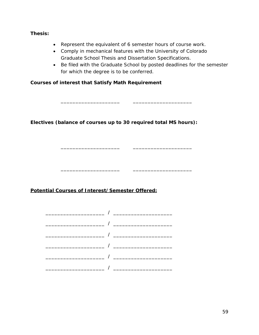#### **Thesis:**

- Represent the equivalent of 6 semester hours of course work.
- Comply in mechanical features with the University of Colorado Graduate School Thesis and Dissertation Specifications.

\_\_\_\_\_\_\_\_\_\_\_\_\_\_\_\_\_\_\_\_ \_\_\_\_\_\_\_\_\_\_\_\_\_\_\_\_\_\_\_\_

\_\_\_\_\_\_\_\_\_\_\_\_\_\_\_\_\_\_\_\_ \_\_\_\_\_\_\_\_\_\_\_\_\_\_\_\_\_\_\_\_

\_\_\_\_\_\_\_\_\_\_\_\_\_\_\_\_\_\_\_\_ \_\_\_\_\_\_\_\_\_\_\_\_\_\_\_\_\_\_\_\_

• Be filed with the Graduate School by posted deadlines for the semester for which the degree is to be conferred.

## **Courses of interest that Satisfy Math Requirement**

**Electives (balance of courses up to 30 required total MS hours):**

## **Potential Courses of Interest/Semester Offered:**

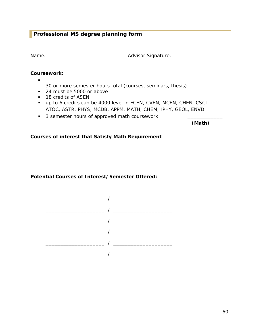## <span id="page-59-0"></span>**Professional MS degree planning form**

Name: \_\_\_\_\_\_\_\_\_\_\_\_\_\_\_\_\_\_\_\_\_\_\_\_\_\_ Advisor Signature: \_\_\_\_\_\_\_\_\_\_\_\_\_\_\_\_\_\_

#### **Coursework:**

 $\blacksquare$ 

- 30 or more semester hours total (courses, seminars, thesis)
- 24 must be 5000 or above
- **18 credits of ASEN**
- up to 6 credits can be 4000 level in ECEN, CVEN, MCEN, CHEN, CSCI, ATOC, ASTR, PHYS, MCDB, APPM, MATH, CHEM, IPHY, GEOL, ENVD

\_\_\_\_\_\_\_\_\_\_\_\_\_\_\_\_\_\_\_\_ \_\_\_\_\_\_\_\_\_\_\_\_\_\_\_\_\_\_\_\_

**3** semester hours of approved math coursework

**(Math)**

#### **Courses of interest that Satisfy Math Requirement**

**Potential Courses of Interest/Semester Offered:**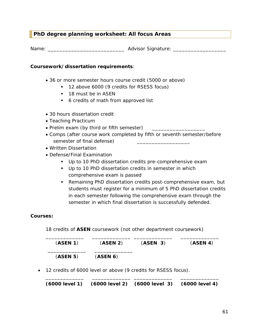## <span id="page-60-0"></span>**PhD degree planning worksheet: All focus Areas**

Name: \_\_\_\_\_\_\_\_\_\_\_\_\_\_\_\_\_\_\_\_\_\_\_\_\_\_ Advisor Signature: \_\_\_\_\_\_\_\_\_\_\_\_\_\_\_\_\_\_

#### **Coursework/dissertation requirements**:

- 36 or more semester hours course credit (5000 or above)
	- <sup>1</sup> 12 above 6000 (9 credits for RSESS focus)
	- **18 must be in ASEN**
	- 6 credits of math from approved list
- 30 hours dissertation credit
- Teaching Practicum
- Prelim exam (by third or fifth semester)
- Comps (after course work completed by fifth or seventh semester/before semester of final defense)
- Written Dissertation
- Defense/Final Examination
	- Up to 10 PhD dissertation credits pre-comprehensive exam
	- Up to 10 PhD dissertation credits in semester in which comprehensive exam is passed
	- Remaining PhD dissertation credits post-comprehensive exam, but students must register for a minimum of 5 PhD dissertation credits in each semester following the comprehensive exam through the semester in which final dissertation is successfully defended.

#### **Courses:**

18 credits of **ASEN** coursework (not other department coursework)

| (ASEN 1) | (ASEN 2) | (ASEN 3) | (ASEN 4) |
|----------|----------|----------|----------|
| (ASEN 5) | (ASEN 6) |          |          |

• 12 credits of 6000 level or above (9 credits for RSESS focus).

\_\_\_\_\_\_\_\_\_\_\_\_\_ \_\_\_\_\_\_\_\_\_\_\_\_\_ \_\_\_\_\_\_\_\_\_\_\_\_\_ \_\_\_\_\_\_\_\_\_\_\_\_\_ **(6000 level 1) (6000 level 2) (6000 level 3) (6000 level 4)**